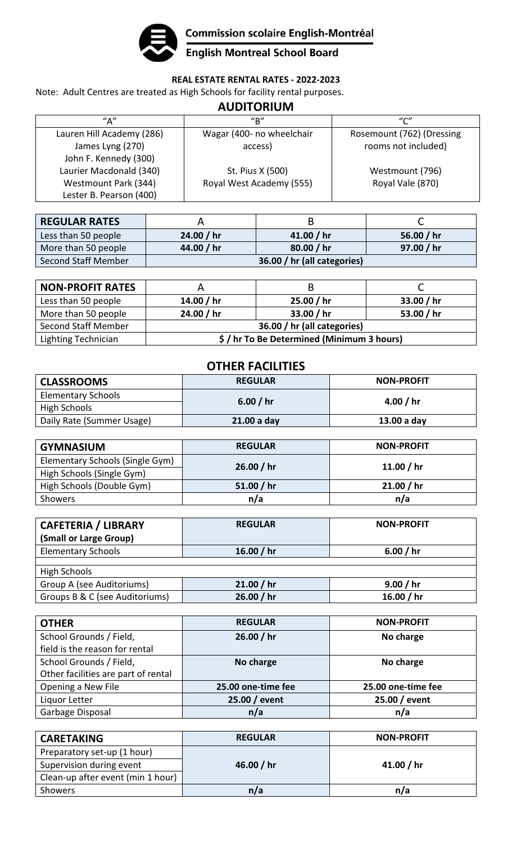

**Commission scolaire English-Montréal<br>English Montreal School Board** 

## **REAL ESTATE RENTAL RATES ‐ 2022‐2023**

Note: Adult Centres are treated as High Schools for facility rental purposes.

## **AUDITORIUM**

| $^{\prime\prime}$ A $^{\prime\prime}$ | $^{\prime\prime}$ R $^{\prime\prime}$ | $^{\prime\prime}$ C $^{\prime\prime}$ |
|---------------------------------------|---------------------------------------|---------------------------------------|
| Lauren Hill Academy (286)             | Wagar (400- no wheelchair             | Rosemount (762) (Dressing             |
| James Lyng (270)                      | access)                               | rooms not included)                   |
| John F. Kennedy (300)                 |                                       |                                       |
| Laurier Macdonald (340)               | St. Pius X (500)                      | Westmount (796)                       |
| Westmount Park (344)                  | Royal West Academy (555)              | Royal Vale (870)                      |
| Lester B. Pearson (400)               |                                       |                                       |

| <b>REGULAR RATES</b> |                             |            |              |
|----------------------|-----------------------------|------------|--------------|
| Less than 50 people  | 24.00 / hr                  | 41.00 / hr | 56.00 $/$ hr |
| More than 50 people  | 44.00 / hr                  | 80.00 / hr | 97.00 / hr   |
| Second Staff Member  | 36.00 / hr (all categories) |            |              |

| <b>NON-PROFIT RATES</b> |                                          |            |            |
|-------------------------|------------------------------------------|------------|------------|
| Less than 50 people     | 14.00 / hr                               | 25.00 / hr | 33.00 / hr |
| More than 50 people     | 24.00 / hr                               | 33.00 / hr | 53.00 / hr |
| Second Staff Member     | 36.00 / hr (all categories)              |            |            |
| Lighting Technician     | \$/hr To Be Determined (Minimum 3 hours) |            |            |

| <b>OTHER FACILITIES</b>         |                |                   |  |
|---------------------------------|----------------|-------------------|--|
| <b>CLASSROOMS</b>               | <b>REGULAR</b> | <b>NON-PROFIT</b> |  |
| <b>Elementary Schools</b>       |                | 4.00 $/$ hr       |  |
| <b>High Schools</b>             | 6.00 / $hr$    |                   |  |
| Daily Rate (Summer Usage)       | 21.00 a day    | 13.00 a day       |  |
|                                 |                |                   |  |
| <b>GYMNASIUM</b>                | <b>REGULAR</b> | <b>NON-PROFIT</b> |  |
| Elementary Schools (Single Gym) | 26.00 / hr     |                   |  |
| High Schools (Single Gym)       |                | 11.00 $/$ hr      |  |
| High Schools (Double Gym)       | 51.00 $/$ hr   | 21.00 / hr        |  |
| Showers                         | n/a            | n/a               |  |
|                                 |                |                   |  |
| <b>CAFETERIA / LIBRARY</b>      | <b>REGULAR</b> | <b>NON-PROFIT</b> |  |
| (Small or Large Group)          |                |                   |  |
| <b>Elementary Schools</b>       | 16.00 $/$ hr   | 6.00 / hr         |  |
| <b>High Schools</b>             |                |                   |  |
| Group A (see Auditoriums)       | 21.00 / hr     | 9.00 / hr         |  |
| Groups B & C (see Auditoriums)  | 26.00 / hr     | 16.00 $/$ hr      |  |
|                                 |                |                   |  |
| <b>OTHER</b>                    | <b>REGULAR</b> | <b>NON-PROFIT</b> |  |
| School Grounds / Field,         | 26.00 / hr     | No charge         |  |
| field is the reason for rental  |                |                   |  |
| School Grounds / Field          | No charge      | No charge         |  |

| School Grounds / Field,             | No charge          | No charge          |
|-------------------------------------|--------------------|--------------------|
| Other facilities are part of rental |                    |                    |
| Opening a New File                  | 25.00 one-time fee | 25.00 one-time fee |
| Liquor Letter                       | 25.00 / event      | 25.00 / event      |
| Garbage Disposal                    | n/a                | n/a                |
|                                     |                    |                    |

| <b>CARETAKING</b>                 | <b>REGULAR</b> | <b>NON-PROFIT</b> |
|-----------------------------------|----------------|-------------------|
| Preparatory set-up (1 hour)       |                |                   |
| Supervision during event          | 46.00 / hr     | 41.00 / hr        |
| Clean-up after event (min 1 hour) |                |                   |
| Showers                           | n/a            | n/a               |